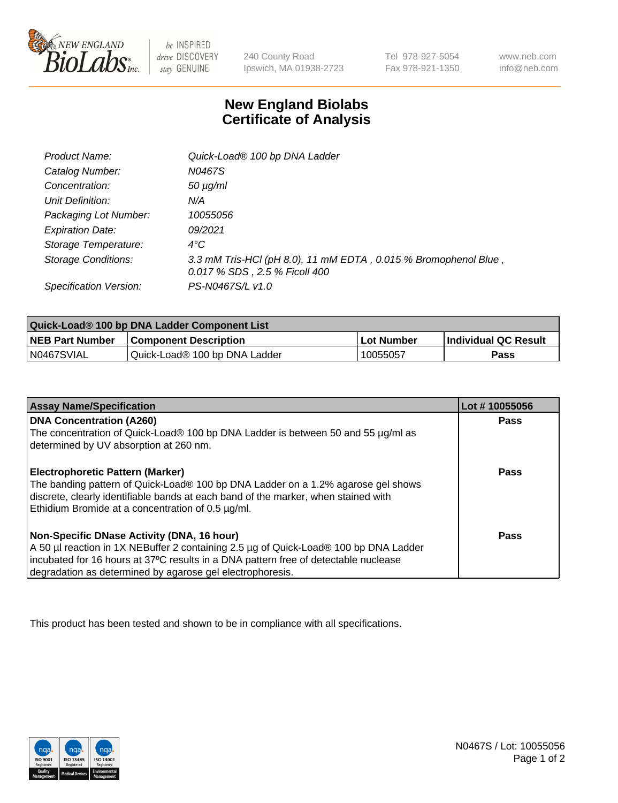

 $be$  INSPIRED drive DISCOVERY stay GENUINE

240 County Road Ipswich, MA 01938-2723 Tel 978-927-5054 Fax 978-921-1350 www.neb.com info@neb.com

## **New England Biolabs Certificate of Analysis**

| Product Name:              | Quick-Load® 100 bp DNA Ladder                                                                    |
|----------------------------|--------------------------------------------------------------------------------------------------|
| Catalog Number:            | N0467S                                                                                           |
| Concentration:             | $50 \mu g/ml$                                                                                    |
| Unit Definition:           | N/A                                                                                              |
| Packaging Lot Number:      | 10055056                                                                                         |
| <b>Expiration Date:</b>    | 09/2021                                                                                          |
| Storage Temperature:       | $4^{\circ}$ C                                                                                    |
| <b>Storage Conditions:</b> | 3.3 mM Tris-HCl (pH 8.0), 11 mM EDTA, 0.015 % Bromophenol Blue,<br>0.017 % SDS, 2.5 % Ficoll 400 |
| Specification Version:     | PS-N0467S/L v1.0                                                                                 |

| Quick-Load® 100 bp DNA Ladder Component List |                               |             |                             |  |
|----------------------------------------------|-------------------------------|-------------|-----------------------------|--|
| <b>NEB Part Number</b>                       | <b>Component Description</b>  | ⊥Lot Number | <b>Individual QC Result</b> |  |
| N0467SVIAL                                   | Quick-Load® 100 bp DNA Ladder | 10055057    | Pass                        |  |

| <b>Assay Name/Specification</b>                                                                                                                                                                                                                                                        | Lot #10055056 |
|----------------------------------------------------------------------------------------------------------------------------------------------------------------------------------------------------------------------------------------------------------------------------------------|---------------|
| <b>DNA Concentration (A260)</b><br>The concentration of Quick-Load® 100 bp DNA Ladder is between 50 and 55 µg/ml as<br>determined by UV absorption at 260 nm.                                                                                                                          | <b>Pass</b>   |
| <b>Electrophoretic Pattern (Marker)</b><br>The banding pattern of Quick-Load® 100 bp DNA Ladder on a 1.2% agarose gel shows<br>discrete, clearly identifiable bands at each band of the marker, when stained with<br>Ethidium Bromide at a concentration of 0.5 µg/ml.                 | Pass          |
| Non-Specific DNase Activity (DNA, 16 hour)<br>A 50 µl reaction in 1X NEBuffer 2 containing 2.5 µg of Quick-Load® 100 bp DNA Ladder<br>incubated for 16 hours at 37°C results in a DNA pattern free of detectable nuclease<br>degradation as determined by agarose gel electrophoresis. | Pass          |

This product has been tested and shown to be in compliance with all specifications.